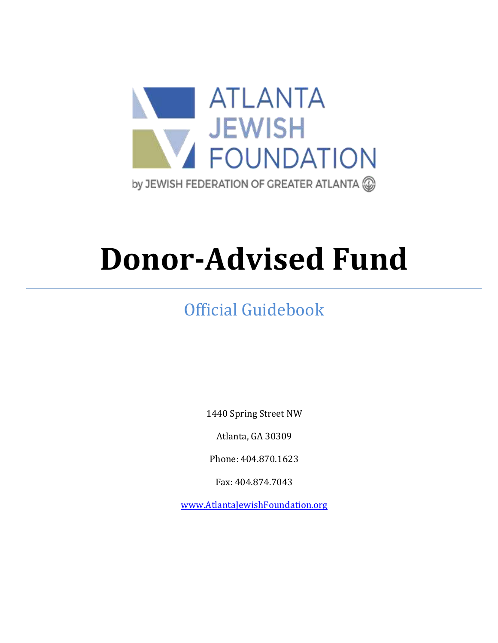

# **Donor-Advised Fund**

# Official Guidebook

1440 Spring Street NW

Atlanta, GA 30309

Phone: 404.870.1623

Fax: 404.874.7043

[www.AtlantaJewishFoundation.org](http://www.atlantajewishfoundation.org/)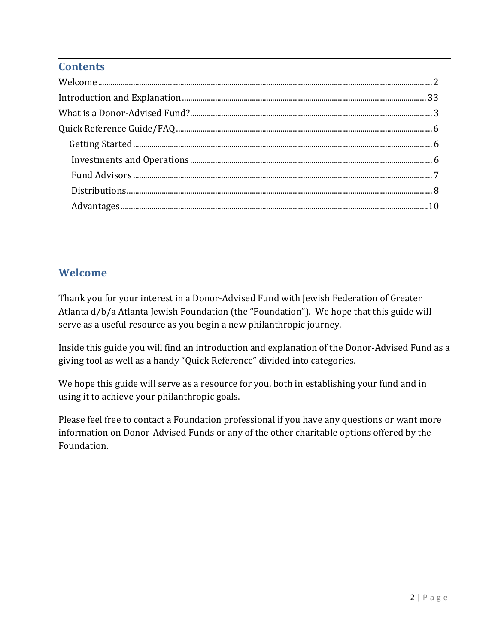# **Contents**

# <span id="page-1-0"></span>**Welcome**

Thank you for your interest in a Donor-Advised Fund with Jewish Federation of Greater Atlanta d/b/a Atlanta Jewish Foundation (the "Foundation"). We hope that this guide will serve as a useful resource as you begin a new philanthropic journey.

Inside this guide you will find an introduction and explanation of the Donor-Advised Fund as a giving tool as well as a handy "Quick Reference" divided into categories.

We hope this guide will serve as a resource for you, both in establishing your fund and in using it to achieve your philanthropic goals.

Please feel free to contact a Foundation professional if you have any questions or want more information on Donor-Advised Funds or any of the other charitable options offered by the Foundation.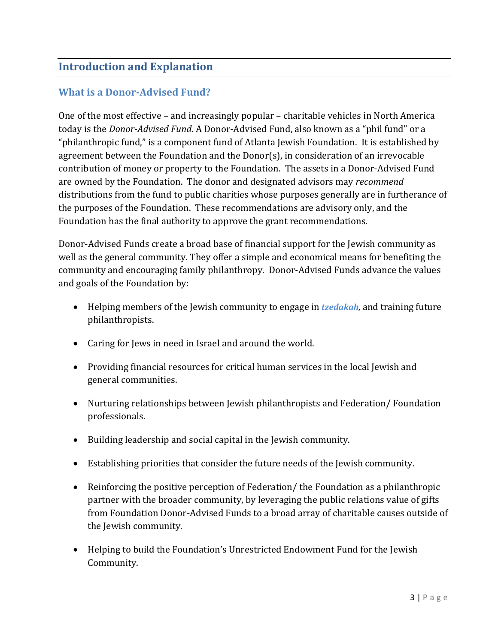# <span id="page-2-0"></span>**Introduction and Explanation**

# <span id="page-2-1"></span>**What is a Donor-Advised Fund?**

One of the most effective – and increasingly popular – charitable vehicles in North America today is the *Donor-Advised Fund*. A Donor-Advised Fund, also known as a "phil fund" or a "philanthropic fund," is a component fund of Atlanta Jewish Foundation. It is established by agreement between the Foundation and the Donor(s), in consideration of an irrevocable contribution of money or property to the Foundation. The assets in a Donor-Advised Fund are owned by the Foundation. The donor and designated advisors may *recommend* distributions from the fund to public charities whose purposes generally are in furtherance of the purposes of the Foundation. These recommendations are advisory only, and the Foundation has the final authority to approve the grant recommendations.

Donor-Advised Funds create a broad base of financial support for the Jewish community as well as the general community. They offer a simple and economical means for benefiting the community and encouraging family philanthropy. Donor-Advised Funds advance the values and goals of the Foundation by:

- Helping members of the Jewish community to engage in *tzedakah,* and training future philanthropists.
- Caring for Jews in need in Israel and around the world.
- Providing financial resources for critical human services in the local Jewish and general communities.
- Nurturing relationships between Jewish philanthropists and Federation/ Foundation professionals.
- Building leadership and social capital in the Jewish community.
- Establishing priorities that consider the future needs of the Jewish community.
- Reinforcing the positive perception of Federation/ the Foundation as a philanthropic partner with the broader community, by leveraging the public relations value of gifts from Foundation Donor-Advised Funds to a broad array of charitable causes outside of the Jewish community.
- Helping to build the Foundation's Unrestricted Endowment Fund for the Jewish Community.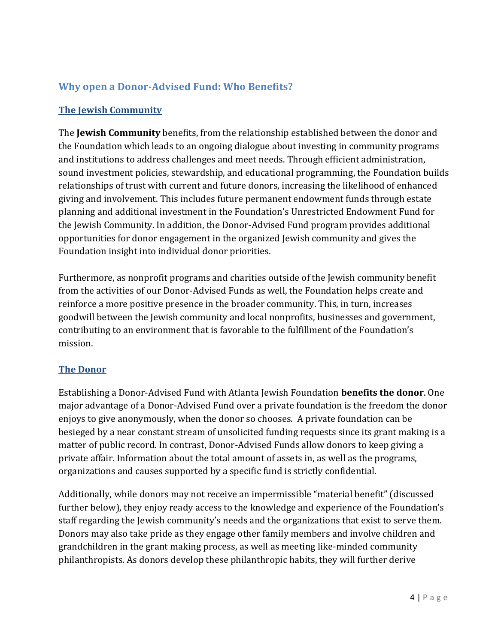# **Why open a Donor-Advised Fund: Who Benefits?**

# **The Jewish Community**

The **Jewish Community** benefits, from the relationship established between the donor and the Foundation which leads to an ongoing dialogue about investing in community programs and institutions to address challenges and meet needs. Through efficient administration, sound investment policies, stewardship, and educational programming, the Foundation builds relationships of trust with current and future donors, increasing the likelihood of enhanced giving and involvement. This includes future permanent endowment funds through estate planning and additional investment in the Foundation's Unrestricted Endowment Fund for the Jewish Community. In addition, the Donor-Advised Fund program provides additional opportunities for donor engagement in the organized Jewish community and gives the Foundation insight into individual donor priorities.

Furthermore, as nonprofit programs and charities outside of the Jewish community benefit from the activities of our Donor-Advised Funds as well, the Foundation helps create and reinforce a more positive presence in the broader community. This, in turn, increases goodwill between the Jewish community and local nonprofits, businesses and government, contributing to an environment that is favorable to the fulfillment of the Foundation's mission.

# **The Donor**

Establishing a Donor-Advised Fund with Atlanta Jewish Foundation **benefits the donor**. One major advantage of a Donor-Advised Fund over a private foundation is the freedom the donor enjoys to give anonymously, when the donor so chooses. A private foundation can be besieged by a near constant stream of unsolicited funding requests since its grant making is a matter of public record. In contrast, Donor-Advised Funds allow donors to keep giving a private affair. Information about the total amount of assets in, as well as the programs, organizations and causes supported by a specific fund is strictly confidential.

Additionally, while donors may not receive an impermissible "material benefit" (discussed further below), they enjoy ready access to the knowledge and experience of the Foundation's staff regarding the Jewish community's needs and the organizations that exist to serve them. Donors may also take pride as they engage other family members and involve children and grandchildren in the grant making process, as well as meeting like-minded community philanthropists. As donors develop these philanthropic habits, they will further derive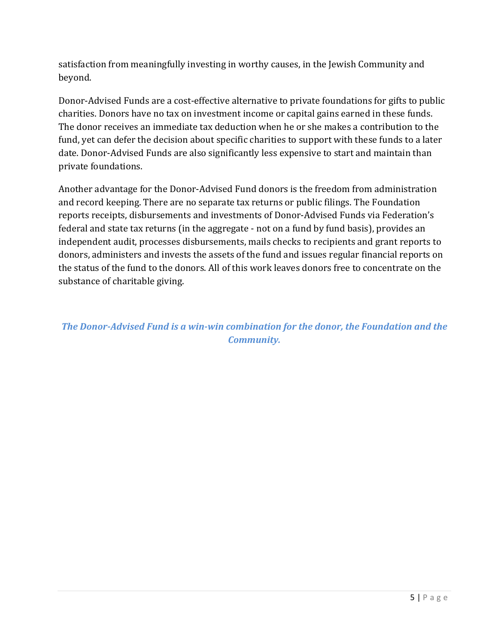satisfaction from meaningfully investing in worthy causes, in the Jewish Community and beyond.

Donor-Advised Funds are a cost-effective alternative to private foundations for gifts to public charities. Donors have no tax on investment income or capital gains earned in these funds. The donor receives an immediate tax deduction when he or she makes a contribution to the fund, yet can defer the decision about specific charities to support with these funds to a later date. Donor-Advised Funds are also significantly less expensive to start and maintain than private foundations.

Another advantage for the Donor-Advised Fund donors is the freedom from administration and record keeping. There are no separate tax returns or public filings. The Foundation reports receipts, disbursements and investments of Donor-Advised Funds via Federation's federal and state tax returns (in the aggregate - not on a fund by fund basis), provides an independent audit, processes disbursements, mails checks to recipients and grant reports to donors, administers and invests the assets of the fund and issues regular financial reports on the status of the fund to the donors. All of this work leaves donors free to concentrate on the substance of charitable giving.

*The Donor-Advised Fund is a win-win combination for the donor, the Foundation and the Community.*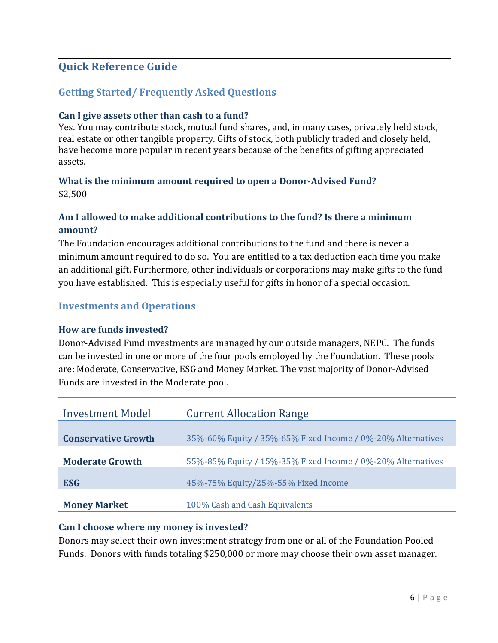# <span id="page-5-0"></span>**Quick Reference Guide**

# <span id="page-5-1"></span>**Getting Started/ Frequently Asked Questions**

#### **Can I give assets other than cash to a fund?**

Yes. You may contribute stock, mutual fund shares, and, in many cases, privately held stock, real estate or other tangible property. Gifts of stock, both publicly traded and closely held, have become more popular in recent years because of the benefits of gifting appreciated assets.

#### **What is the minimum amount required to open a Donor-Advised Fund?** \$2,500

#### **Am I allowed to make additional contributions to the fund? Is there a minimum amount?**

The Foundation encourages additional contributions to the fund and there is never a minimum amount required to do so. You are entitled to a tax deduction each time you make an additional gift. Furthermore, other individuals or corporations may make gifts to the fund you have established. This is especially useful for gifts in honor of a special occasion.

#### <span id="page-5-2"></span>**Investments and Operations**

#### **How are funds invested?**

Donor-Advised Fund investments are managed by our outside managers, NEPC. The funds can be invested in one or more of the four pools employed by the Foundation. These pools are: Moderate, Conservative, ESG and Money Market. The vast majority of Donor-Advised Funds are invested in the Moderate pool.

| <b>Investment Model</b>    | <b>Current Allocation Range</b>                             |
|----------------------------|-------------------------------------------------------------|
| <b>Conservative Growth</b> | 35%-60% Equity / 35%-65% Fixed Income / 0%-20% Alternatives |
| <b>Moderate Growth</b>     | 55%-85% Equity / 15%-35% Fixed Income / 0%-20% Alternatives |
| <b>ESG</b>                 | 45%-75% Equity/25%-55% Fixed Income                         |
| <b>Money Market</b>        | 100% Cash and Cash Equivalents                              |

#### **Can I choose where my money is invested?**

Donors may select their own investment strategy from one or all of the Foundation Pooled Funds. Donors with funds totaling \$250,000 or more may choose their own asset manager.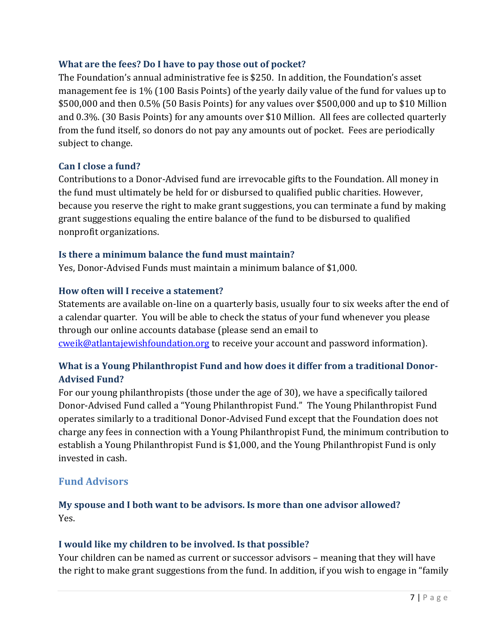#### **What are the fees? Do I have to pay those out of pocket?**

The Foundation's annual administrative fee is \$250. In addition, the Foundation's asset management fee is 1% (100 Basis Points) of the yearly daily value of the fund for values up to \$500,000 and then 0.5% (50 Basis Points) for any values over \$500,000 and up to \$10 Million and 0.3%. (30 Basis Points) for any amounts over \$10 Million. All fees are collected quarterly from the fund itself, so donors do not pay any amounts out of pocket. Fees are periodically subject to change.

#### **Can I close a fund?**

Contributions to a Donor-Advised fund are irrevocable gifts to the Foundation. All money in the fund must ultimately be held for or disbursed to qualified public charities. However, because you reserve the right to make grant suggestions, you can terminate a fund by making grant suggestions equaling the entire balance of the fund to be disbursed to qualified nonprofit organizations.

#### **Is there a minimum balance the fund must maintain?**

Yes, Donor-Advised Funds must maintain a minimum balance of \$1,000.

#### **How often will I receive a statement?**

Statements are available on-line on a quarterly basis, usually four to six weeks after the end of a calendar quarter. You will be able to check the status of your fund whenever you please through our online accounts database (please send an email to [cweik@atlantajewishfoundation.org](mailto:cweik@atlantajewishfoundation.org) to receive your account and password information).

# **What is a Young Philanthropist Fund and how does it differ from a traditional Donor-Advised Fund?**

For our young philanthropists (those under the age of 30), we have a specifically tailored Donor-Advised Fund called a "Young Philanthropist Fund." The Young Philanthropist Fund operates similarly to a traditional Donor-Advised Fund except that the Foundation does not charge any fees in connection with a Young Philanthropist Fund, the minimum contribution to establish a Young Philanthropist Fund is \$1,000, and the Young Philanthropist Fund is only invested in cash.

# <span id="page-6-0"></span>**Fund Advisors**

# **My spouse and I both want to be advisors. Is more than one advisor allowed?** Yes.

#### **I would like my children to be involved. Is that possible?**

Your children can be named as current or successor advisors – meaning that they will have the right to make grant suggestions from the fund. In addition, if you wish to engage in "family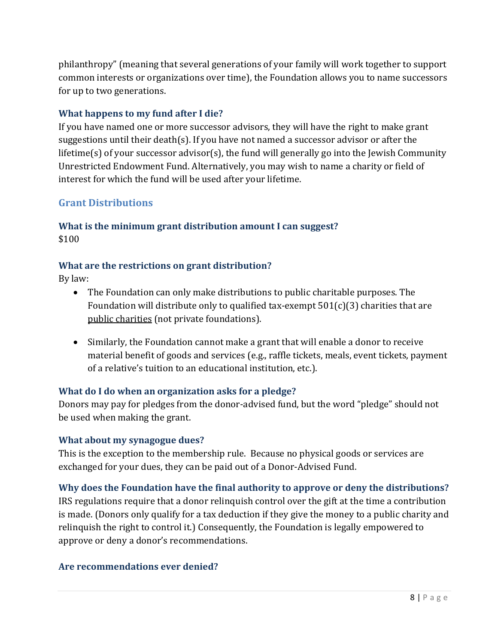philanthropy" (meaning that several generations of your family will work together to support common interests or organizations over time), the Foundation allows you to name successors for up to two generations.

#### **What happens to my fund after I die?**

If you have named one or more successor advisors, they will have the right to make grant suggestions until their death(s). If you have not named a successor advisor or after the lifetime(s) of your successor advisor(s), the fund will generally go into the Jewish Community Unrestricted Endowment Fund. Alternatively, you may wish to name a charity or field of interest for which the fund will be used after your lifetime.

# <span id="page-7-0"></span>**Grant Distributions**

#### **What is the minimum grant distribution amount I can suggest?** \$100

#### **What are the restrictions on grant distribution?**

By law:

- The Foundation can only make distributions to public charitable purposes. The Foundation will distribute only to qualified tax-exempt  $501(c)(3)$  charities that are public charities (not private foundations).
- Similarly, the Foundation cannot make a grant that will enable a donor to receive material benefit of goods and services (e.g., raffle tickets, meals, event tickets, payment of a relative's tuition to an educational institution, etc.).

#### **What do I do when an organization asks for a pledge?**

Donors may pay for pledges from the donor-advised fund, but the word "pledge" should not be used when making the grant.

#### **What about my synagogue dues?**

This is the exception to the membership rule. Because no physical goods or services are exchanged for your dues, they can be paid out of a Donor-Advised Fund.

#### **Why does the Foundation have the final authority to approve or deny the distributions?**

IRS regulations require that a donor relinquish control over the gift at the time a contribution is made. (Donors only qualify for a tax deduction if they give the money to a public charity and relinquish the right to control it.) Consequently, the Foundation is legally empowered to approve or deny a donor's recommendations.

#### **Are recommendations ever denied?**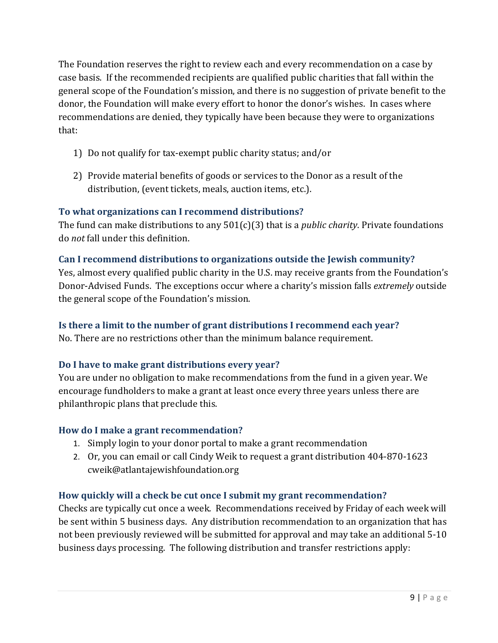The Foundation reserves the right to review each and every recommendation on a case by case basis. If the recommended recipients are qualified public charities that fall within the general scope of the Foundation's mission, and there is no suggestion of private benefit to the donor, the Foundation will make every effort to honor the donor's wishes. In cases where recommendations are denied, they typically have been because they were to organizations that:

- 1) Do not qualify for tax-exempt public charity status; and/or
- 2) Provide material benefits of goods or services to the Donor as a result of the distribution, (event tickets, meals, auction items, etc.).

# **To what organizations can I recommend distributions?**

The fund can make distributions to any 501(c)(3) that is a *public charity*. Private foundations do *not* fall under this definition.

# **Can I recommend distributions to organizations outside the Jewish community?**

Yes, almost every qualified public charity in the U.S. may receive grants from the Foundation's Donor-Advised Funds. The exceptions occur where a charity's mission falls *extremely* outside the general scope of the Foundation's mission.

# **Is there a limit to the number of grant distributions I recommend each year?**

No. There are no restrictions other than the minimum balance requirement.

# **Do I have to make grant distributions every year?**

You are under no obligation to make recommendations from the fund in a given year. We encourage fundholders to make a grant at least once every three years unless there are philanthropic plans that preclude this.

# **How do I make a grant recommendation?**

- 1. Simply login to your donor portal to make a grant recommendation
- 2. Or, you can email or call Cindy Weik to request a grant distribution [404-870-1623](mailto:404-870-1623) [cweik@atlantajewishfoundation.org](mailto:cweik@atlantajewishfoundation.org)

# **How quickly will a check be cut once I submit my grant recommendation?**

Checks are typically cut once a week. Recommendations received by Friday of each week will be sent within 5 business days. Any distribution recommendation to an organization that has not been previously reviewed will be submitted for approval and may take an additional 5-10 business days processing. The following distribution and transfer restrictions apply: